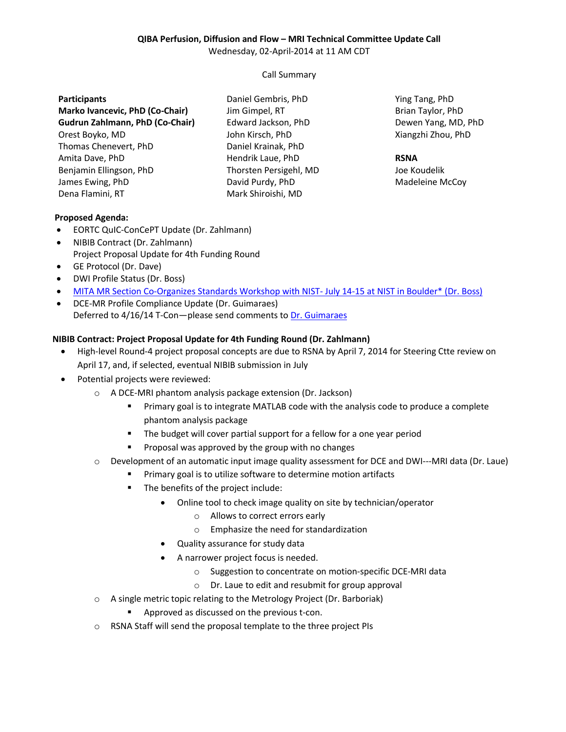# **QIBA Perfusion, Diffusion and Flow – MRI Technical Committee Update Call**

Wednesday, 02-April-2014 at 11 AM CDT

Call Summary

## **Participants**

**Marko Ivancevic, PhD (Co-Chair) Gudrun Zahlmann, PhD (Co-Chair)** Orest Boyko, MD Thomas Chenevert, PhD Amita Dave, PhD Benjamin Ellingson, PhD James Ewing, PhD Dena Flamini, RT

Daniel Gembris, PhD Jim Gimpel, RT Edward Jackson, PhD John Kirsch, PhD Daniel Krainak, PhD Hendrik Laue, PhD Thorsten Persigehl, MD David Purdy, PhD Mark Shiroishi, MD

Ying Tang, PhD Brian Taylor, PhD Dewen Yang, MD, PhD Xiangzhi Zhou, PhD

#### **RSNA**

Joe Koudelik Madeleine McCoy

## **Proposed Agenda:**

- EORTC QuIC-ConCePT Update (Dr. Zahlmann)
- NIBIB Contract (Dr. Zahlmann) Project Proposal Update for 4th Funding Round
- GE Protocol (Dr. Dave)
- DWI Profile Status (Dr. Boss)
- [MITA MR Section Co-Organizes Standards Workshop with NIST-](http://collaborate.nist.gov/mriphantoms/bin/view/MriPhantoms/StandardsWorkshop) July 14-15 at NIST in Boulder\* (Dr. Boss)
- DCE-MR Profile Compliance Update (Dr. Guimaraes) Deferred to 4/16/14 T-Con-please send comments t[o Dr. Guimaraes](mailto:alex@nmr.mgh.harvard.edu)

#### **NIBIB Contract: Project Proposal Update for 4th Funding Round (Dr. Zahlmann)**

- High-level Round-4 project proposal concepts are due to RSNA by April 7, 2014 for Steering Ctte review on April 17, and, if selected, eventual NIBIB submission in July
- Potential projects were reviewed:
	- o A DCE-MRI phantom analysis package extension (Dr. Jackson)
		- **Primary goal is to integrate MATLAB code with the analysis code to produce a complete** phantom analysis package
		- The budget will cover partial support for a fellow for a one year period
		- **Proposal was approved by the group with no changes**
	- $\circ$  Development of an automatic input image quality assessment for DCE and DWI---MRI data (Dr. Laue)
		- **Primary goal is to utilize software to determine motion artifacts**
		- **The benefits of the project include:** 
			- Online tool to check image quality on site by technician/operator
				- o Allows to correct errors early
				- o Emphasize the need for standardization
			- Quality assurance for study data
			- A narrower project focus is needed.
				- o Suggestion to concentrate on motion-specific DCE-MRI data
				- o Dr. Laue to edit and resubmit for group approval
	- o A single metric topic relating to the Metrology Project (Dr. Barboriak)
		- Approved as discussed on the previous t-con.
	- o RSNA Staff will send the proposal template to the three project PIs